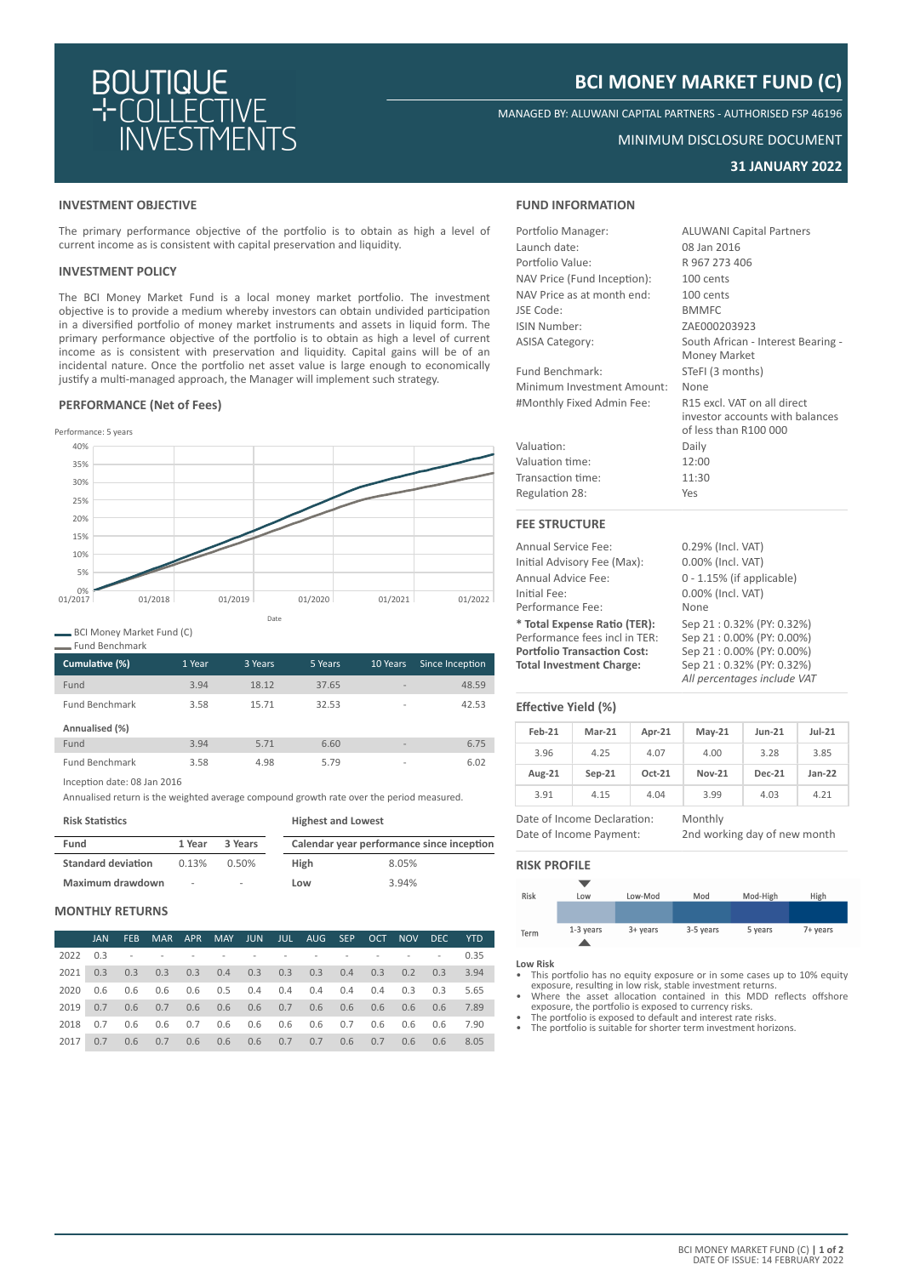

# **BCI MONEY MARKET FUND (C)**

MANAGED BY: ALUWANI CAPITAL PARTNERS - AUTHORISED FSP 46196

# MINIMUM DISCLOSURE DOCUMENT

# **31 JANUARY 2022**

### **INVESTMENT OBJECTIVE**

The primary performance objective of the portfolio is to obtain as high a level of current income as is consistent with capital preservation and liquidity.

# **INVESTMENT POLICY**

The BCI Money Market Fund is a local money market portfolio. The investment objective is to provide a medium whereby investors can obtain undivided participation in a diversified portfolio of money market instruments and assets in liquid form. The primary performance objective of the portfolio is to obtain as high a level of current income as is consistent with preservation and liquidity. Capital gains will be of an incidental nature. Once the portfolio net asset value is large enough to economically justify a multi-managed approach, the Manager will implement such strategy.

# **PERFORMANCE (Net of Fees)**



BCI Money Market Fund (C)

| <b>Fund Benchmark</b> |        |         |         |                          |                 |
|-----------------------|--------|---------|---------|--------------------------|-----------------|
| Cumulative (%)        | 1 Year | 3 Years | 5 Years | 10 Years                 | Since Inception |
| Fund                  | 3.94   | 18.12   | 37.65   | $\overline{\phantom{a}}$ | 48.59           |
| <b>Fund Benchmark</b> | 3.58   | 15.71   | 32.53   | $\overline{\phantom{a}}$ | 42.53           |
| Annualised (%)        |        |         |         |                          |                 |
| Fund                  | 3.94   | 5.71    | 6.60    | $\overline{\phantom{a}}$ | 6.75            |
| <b>Fund Benchmark</b> | 3.58   | 4.98    | 5.79    | $\overline{\phantom{a}}$ | 6.02            |

Inception date: 08 Jan 2016

Annualised return is the weighted average compound growth rate over the period measured.

| <b>Risk Statistics</b>    |        |                          | <b>Highest and Lowest</b> |                                           |  |  |
|---------------------------|--------|--------------------------|---------------------------|-------------------------------------------|--|--|
| Fund                      | 1 Year | 3 Years                  |                           | Calendar year performance since inception |  |  |
| <b>Standard deviation</b> | 0.13%  | $0.50\%$                 | <b>High</b>               | 8.05%                                     |  |  |
| Maximum drawdown          | ٠      | $\overline{\phantom{a}}$ | Low                       | 3.94%                                     |  |  |

### **MONTHLY RETURNS**

|          | <b>JAN</b> | FEB |                                                                                                                 |  |  | MAR APR MAY JUN JUL AUG SEP OCT NOV DEC YTD |  |  |      |
|----------|------------|-----|-----------------------------------------------------------------------------------------------------------------|--|--|---------------------------------------------|--|--|------|
| 2022 0.3 |            |     | the contract of the contract of the contract of the contract of the contract of the contract of the contract of |  |  |                                             |  |  | 0.35 |
|          |            |     | 2021 0.3 0.3 0.3 0.3 0.4 0.3 0.3 0.3 0.4 0.3 0.2 0.3                                                            |  |  |                                             |  |  | 3.94 |
| 2020     |            |     | 0.6 0.6 0.6 0.6 0.5 0.4 0.4 0.4 0.4 0.4 0.3 0.3                                                                 |  |  |                                             |  |  | 5.65 |
|          |            |     |                                                                                                                 |  |  |                                             |  |  | 7.89 |
| 2018     |            |     | 0.7 0.6 0.6 0.7 0.6 0.6 0.6 0.6 0.7 0.6 0.6 0.6 7.90                                                            |  |  |                                             |  |  |      |
| 2017     | 0.7        |     | 0.6 0.7 0.6 0.6 0.6 0.7 0.7 0.6 0.7 0.6 0.6                                                                     |  |  |                                             |  |  | 8.05 |

### **FUND INFORMATION**

| Portfolio Manager:          | <b>ALUWANI Capital Partners</b>                                                         |
|-----------------------------|-----------------------------------------------------------------------------------------|
| Launch date:                | 08 Jan 2016                                                                             |
| Portfolio Value:            | R 967 273 406                                                                           |
| NAV Price (Fund Inception): | 100 cents                                                                               |
| NAV Price as at month end:  | 100 cents                                                                               |
| JSE Code:                   | <b>BMMFC</b>                                                                            |
| <b>ISIN Number:</b>         | ZAE000203923                                                                            |
| <b>ASISA Category:</b>      | South African - Interest Bearing -<br>Money Market                                      |
| Fund Benchmark:             |                                                                                         |
|                             | STeFI (3 months)                                                                        |
| Minimum Investment Amount:  | None                                                                                    |
| #Monthly Fixed Admin Fee:   | R15 excl. VAT on all direct<br>investor accounts with balances<br>of less than R100 000 |
| Valuation:                  | Daily                                                                                   |
| Valuation time:             | 12:00                                                                                   |
| Transaction time:           | 11:30                                                                                   |
| Regulation 28:              | Yes                                                                                     |
| <b>FEE STRUCTURE</b>        |                                                                                         |

| <b>Annual Service Fee:</b>         | 0.29% (Incl. VAT)         |
|------------------------------------|---------------------------|
| Initial Advisory Fee (Max):        | 0.00% (Incl. VAT)         |
| Annual Advice Fee:                 | 0 - 1.15% (if applicable) |
| Initial Fee:                       | 0.00% (Incl. VAT)         |
| Performance Fee:                   | None                      |
| * Total Expense Ratio (TER):       | Sep 21:0.32% (PY: 0.32%)  |
| Performance fees incl in TER:      | Sep 21:0.00% (PY: 0.00%)  |
| <b>Portfolio Transaction Cost:</b> | Sep 21:0.00% (PY: 0.00%)  |
| <b>Total Investment Charge:</b>    | Sep 21:0.32% (PY: 0.32%)  |
|                                    | $All = 112$               |

| 0.29% (Incl. VAT)           |
|-----------------------------|
| 0.00% (Incl. VAT)           |
| 0 - 1.15% (if applicable)   |
| 0.00% (Incl. VAT)           |
| None                        |
| Sep 21:0.32% (PY: 0.32%)    |
| Sep 21:0.00% (PY: 0.00%)    |
| Sep 21:0.00% (PY: 0.00%)    |
| Sep 21:0.32% (PY: 0.32%)    |
| All percentages include VAT |

#### **Effective Yield (%)**

| $Feb-21$ | $Mar-21$ | Apr-21 | $May-21$      | $Jun-21$      | $Jul-21$ |
|----------|----------|--------|---------------|---------------|----------|
| 3.96     | 4.25     | 4.07   | 4.00          | 3.28          | 3.85     |
| Aug-21   | $Sep-21$ | Oct-21 | <b>Nov-21</b> | <b>Dec-21</b> | $Jan-22$ |
| 3.91     | 4.15     | 4.04   | 3.99          | 4.03          | 4.21     |

Date of Income Declaration: Monthly Date of Income Payment: 2nd working day of new month

# **RISK PROFILE**



**Low Risk**

- This portfolio has no equity exposure or in some cases up to 10% equity exposure, resulting in low risk, stable investment returns. • Where the asset allocation contained in this MDD reflects offshore
- exposure, the portfolio is exposed to currency risks. • The portfolio is exposed to default and interest rate risks.
- The portfolio is suitable for shorter term investment horizons.